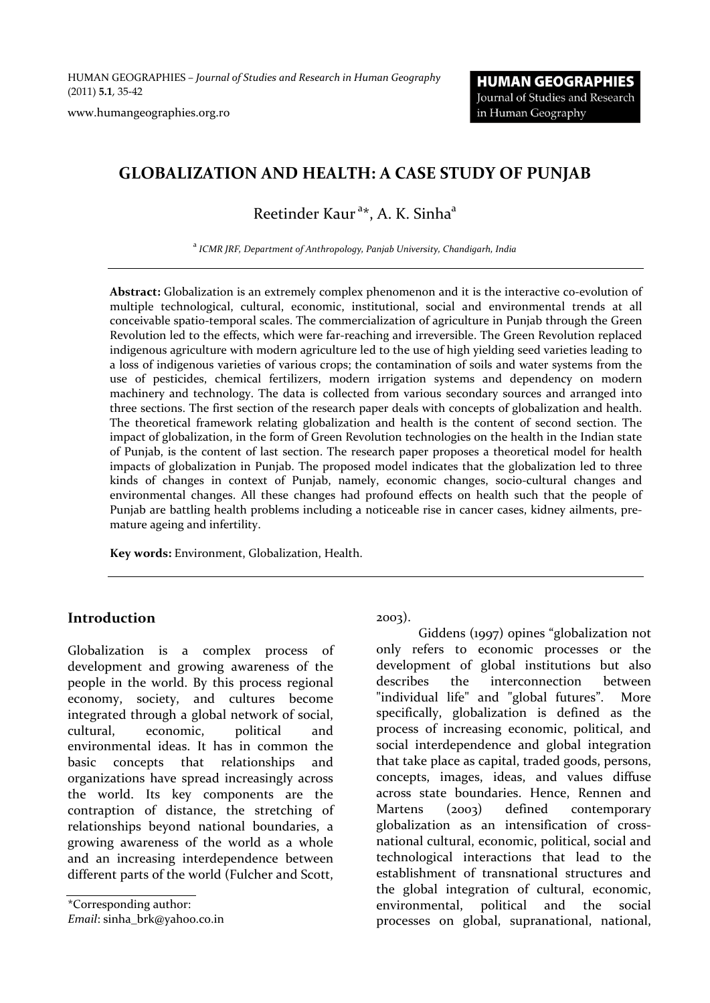HUMAN GEOGRAPHIES *– Journal of Studies and Research in Human Geography* (2011) **5.1**, 35‐42

www.humangeographies.org.ro

# **GLOBALIZATION AND HEALTH: A CASE STUDY OF PUNJAB**

# Reetinder Kaur<sup>a\*</sup>, A. K. Sinha<sup>a</sup>

<sup>a</sup> *ICMR JRF, Department of Anthropology, Panjab University, Chandigarh, India*

**Abstract:** Globalization is an extremely complex phenomenon and it is the interactive co‐evolution of multiple technological, cultural, economic, institutional, social and environmental trends at all conceivable spatio‐temporal scales. The commercialization of agriculture in Punjab through the Green Revolution led to the effects, which were far-reaching and irreversible. The Green Revolution replaced indigenous agriculture with modern agriculture led to the use of high yielding seed varieties leading to a loss of indigenous varieties of various crops; the contamination of soils and water systems from the use of pesticides, chemical fertilizers, modern irrigation systems and dependency on modern machinery and technology. The data is collected from various secondary sources and arranged into three sections. The first section of the research paper deals with concepts of globalization and health. The theoretical framework relating globalization and health is the content of second section. The impact of globalization, in the form of Green Revolution technologies on the health in the Indian state of Punjab, is the content of last section. The research paper proposes a theoretical model for health impacts of globalization in Punjab. The proposed model indicates that the globalization led to three kinds of changes in context of Punjab, namely, economic changes, socio-cultural changes and environmental changes. All these changes had profound effects on health such that the people of Punjab are battling health problems including a noticeable rise in cancer cases, kidney ailments, pre‐ mature ageing and infertility.

**Key words:** Environment, Globalization, Health.

#### **Introduction**

Globalization is a complex process of development and growing awareness of the people in the world. By this process regional economy, society, and cultures become integrated through a global network of social, cultural, economic, political and environmental ideas. It has in common the basic concepts that relationships and organizations have spread increasingly across the world. Its key components are the contraption of distance, the stretching of relationships beyond national boundaries, a growing awareness of the world as a whole and an increasing interdependence between different parts of the world (Fulcher and Scott,

\*Corresponding author:

*Email*: sinha\_brk@yahoo.co.in

2003).

Giddens (1997) opines "globalization not only refers to economic processes or the development of global institutions but also describes the interconnection between "individual life" and "global futures". More specifically, globalization is defined as the process of increasing economic, political, and social interdependence and global integration that take place as capital, traded goods, persons, concepts, images, ideas, and values diffuse across state boundaries. Hence, Rennen and Martens (2003) defined contemporary globalization as an intensification of cross‐ national cultural, economic, political, social and technological interactions that lead to the establishment of transnational structures and the global integration of cultural, economic, environmental, political and the social processes on global, supranational, national,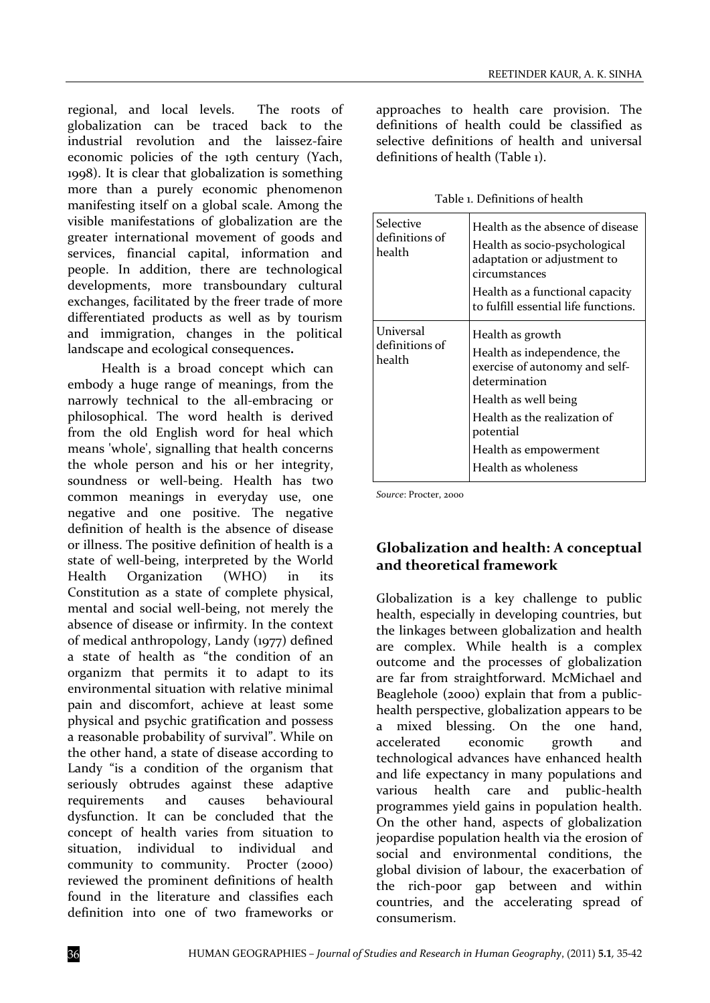regional, and local levels. The roots of globalization can be traced back to the industrial revolution and the laissez-faire economic policies of the 19th century (Yach, 1998). It is clear that globalization is something more than a purely economic phenomenon manifesting itself on a global scale. Among the visible manifestations of globalization are the greater international movement of goods and services, financial capital, information and people. In addition, there are technological developments, more transboundary cultural exchanges, facilitated by the freer trade of more differentiated products as well as by tourism and immigration, changes in the political landscape and ecological consequences**.**

Health is a broad concept which can embody a huge range of meanings, from the narrowly technical to the all-embracing or philosophical. The word health is derived from the old English word for heal which means 'whole', signalling that health concerns the whole person and his or her integrity, soundness or well-being. Health has two common meanings in everyday use, one negative and one positive. The negative definition of health is the absence of disease or illness. The positive definition of health is a state of well‐being, interpreted by the World Health Organization (WHO) in its Constitution as a state of complete physical, mental and social well-being, not merely the absence of disease or infirmity. In the context of medical anthropology, Landy (1977) defined a state of health as "the condition of an organizm that permits it to adapt to its environmental situation with relative minimal pain and discomfort, achieve at least some physical and psychic gratification and possess a reasonable probability of survival". While on the other hand, a state of disease according to Landy "is a condition of the organism that seriously obtrudes against these adaptive requirements and causes behavioural dysfunction. It can be concluded that the concept of health varies from situation to situation, individual to individual and community to community. Procter (2000) reviewed the prominent definitions of health found in the literature and classifies each definition into one of two frameworks or

approaches to health care provision. The definitions of health could be classified as selective definitions of health and universal definitions of health (Table 1).

| Table 1. Definitions of health |
|--------------------------------|
|--------------------------------|

| Selective<br>definitions of<br>health | Health as the absence of disease<br>Health as socio-psychological<br>adaptation or adjustment to<br>circumstances<br>Health as a functional capacity<br>to fulfill essential life functions. |  |
|---------------------------------------|----------------------------------------------------------------------------------------------------------------------------------------------------------------------------------------------|--|
| Universal<br>definitions of<br>health | Health as growth<br>Health as independence, the<br>exercise of autonomy and self-<br>determination<br>Health as well being                                                                   |  |
|                                       | Health as the realization of<br>potential<br>Health as empowerment<br>Health as wholeness                                                                                                    |  |

*Source*: Procter, 2000

## **Globalization and health: A conceptual and theoretical framework**

Globalization is a key challenge to public health, especially in developing countries, but the linkages between globalization and health are complex. While health is a complex outcome and the processes of globalization are far from straightforward. McMichael and Beaglehole (2000) explain that from a publichealth perspective, globalization appears to be a mixed blessing. On the one hand, accelerated economic growth and technological advances have enhanced health and life expectancy in many populations and various health care and public‐health programmes yield gains in population health. On the other hand, aspects of globalization jeopardise population health via the erosion of social and environmental conditions, the global division of labour, the exacerbation of the rich‐poor gap between and within countries, and the accelerating spread of consumerism.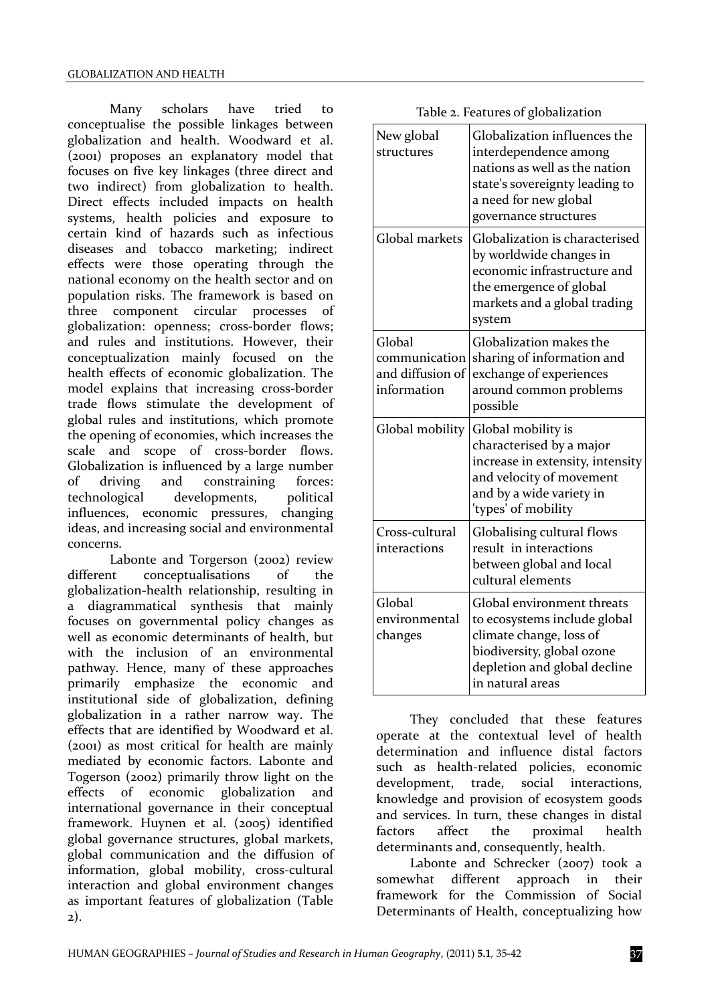Many scholars have tried to conceptualise the possible linkages between globalization and health. Woodward et al. (2001) proposes an explanatory model that focuses on five key linkages (three direct and two indirect) from globalization to health. Direct effects included impacts on health systems, health policies and exposure to certain kind of hazards such as infectious diseases and tobacco marketing; indirect effects were those operating through the national economy on the health sector and on population risks. The framework is based on three component circular processes of globalization: openness; cross‐border flows; and rules and institutions. However, their conceptualization mainly focused on the health effects of economic globalization. The model explains that increasing cross‐border trade flows stimulate the development of global rules and institutions, which promote the opening of economies, which increases the scale and scope of cross-border flows. Globalization is influenced by a large number of driving and constraining forces: technological developments, political influences, economic pressures, changing ideas, and increasing social and environmental concerns.

Labonte and Torgerson (2002) review different conceptualisations of the globalization‐health relationship, resulting in a diagrammatical synthesis that mainly focuses on governmental policy changes as well as economic determinants of health, but with the inclusion of an environmental pathway. Hence, many of these approaches primarily emphasize the economic and institutional side of globalization, defining globalization in a rather narrow way. The effects that are identified by Woodward et al. (2001) as most critical for health are mainly mediated by economic factors. Labonte and Togerson (2002) primarily throw light on the effects of economic globalization and international governance in their conceptual framework. Huynen et al. (2005) identified global governance structures, global markets, global communication and the diffusion of information, global mobility, cross-cultural interaction and global environment changes as important features of globalization (Table 2).

| Table 2. Features of globalization |  |  |
|------------------------------------|--|--|
|------------------------------------|--|--|

| New global<br>structures                                   | Globalization influences the<br>interdependence among<br>nations as well as the nation<br>state's sovereignty leading to<br>a need for new global<br>governance structures |
|------------------------------------------------------------|----------------------------------------------------------------------------------------------------------------------------------------------------------------------------|
| Global markets                                             | Globalization is characterised<br>by worldwide changes in<br>economic infrastructure and<br>the emergence of global<br>markets and a global trading<br>system              |
| Global<br>communication<br>and diffusion of<br>information | Globalization makes the<br>sharing of information and<br>exchange of experiences<br>around common problems<br>possible                                                     |
| Global mobility                                            | Global mobility is<br>characterised by a major<br>increase in extensity, intensity<br>and velocity of movement<br>and by a wide variety in<br>'types' of mobility          |
| Cross-cultural<br>interactions                             | Globalising cultural flows<br>result in interactions<br>between global and local<br>cultural elements                                                                      |
| Global<br>environmental<br>changes                         | Global environment threats<br>to ecosystems include global<br>climate change, loss of<br>biodiversity, global ozone<br>depletion and global decline<br>in natural areas    |

They concluded that these features operate at the contextual level of health determination and influence distal factors such as health‐related policies, economic development, trade, social interactions, knowledge and provision of ecosystem goods and services. In turn, these changes in distal factors affect the proximal health determinants and, consequently, health.

Labonte and Schrecker (2007) took a somewhat different approach in their framework for the Commission of Social Determinants of Health, conceptualizing how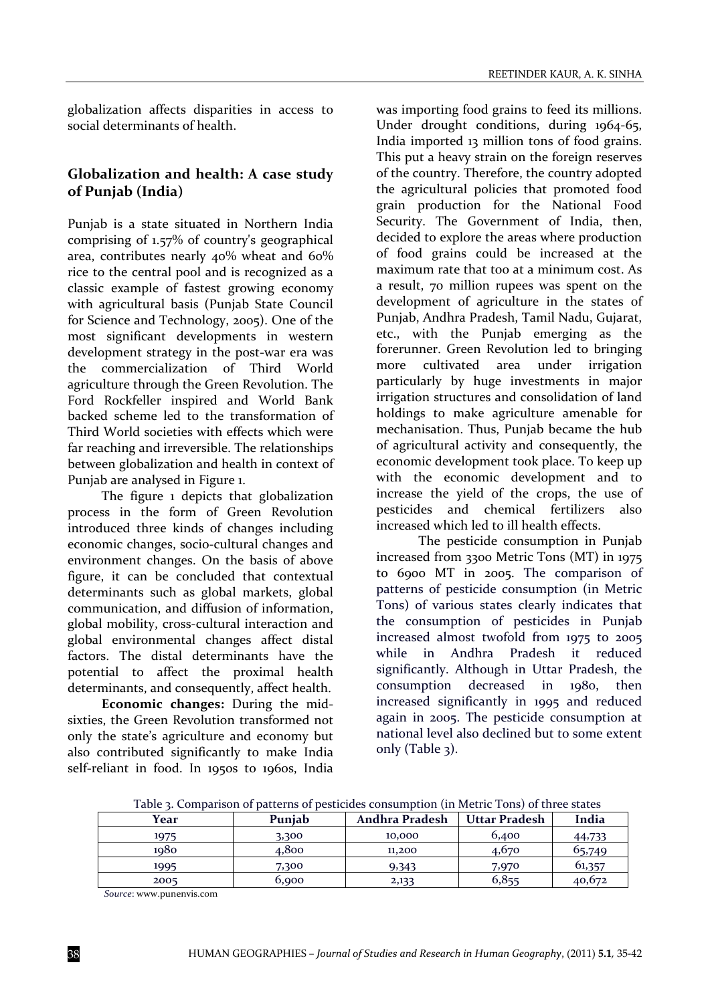globalization affects disparities in access to social determinants of health.

### **Globalization and health: A case study of Punjab (India)**

Punjab is a state situated in Northern India comprising of 1.57% of country's geographical area, contributes nearly 40% wheat and 60% rice to the central pool and is recognized as a classic example of fastest growing economy with agricultural basis (Punjab State Council for Science and Technology, 2005). One of the most significant developments in western development strategy in the post-war era was the commercialization of Third World agriculture through the Green Revolution. The Ford Rockfeller inspired and World Bank backed scheme led to the transformation of Third World societies with effects which were far reaching and irreversible. The relationships between globalization and health in context of Punjab are analysed in Figure 1.

The figure 1 depicts that globalization process in the form of Green Revolution introduced three kinds of changes including economic changes, socio‐cultural changes and environment changes. On the basis of above figure, it can be concluded that contextual determinants such as global markets, global communication, and diffusion of information, global mobility, cross‐cultural interaction and global environmental changes affect distal factors. The distal determinants have the potential to affect the proximal health determinants, and consequently, affect health.

**Economic changes:** During the mid‐ sixties, the Green Revolution transformed not only the state's agriculture and economy but also contributed significantly to make India self-reliant in food. In 1950s to 1960s, India

was importing food grains to feed its millions. Under drought conditions, during 1964‐65, India imported 13 million tons of food grains. This put a heavy strain on the foreign reserves of the country. Therefore, the country adopted the agricultural policies that promoted food grain production for the National Food Security. The Government of India, then, decided to explore the areas where production of food grains could be increased at the maximum rate that too at a minimum cost. As a result, 70 million rupees was spent on the development of agriculture in the states of Punjab, Andhra Pradesh, Tamil Nadu, Gujarat, etc., with the Punjab emerging as the forerunner. Green Revolution led to bringing more cultivated area under irrigation particularly by huge investments in major irrigation structures and consolidation of land holdings to make agriculture amenable for mechanisation. Thus, Punjab became the hub of agricultural activity and consequently, the economic development took place. To keep up with the economic development and to increase the yield of the crops, the use of pesticides and chemical fertilizers also increased which led to ill health effects.

The pesticide consumption in Punjab increased from 3300 Metric Tons (MT) in 1975 to 6900 MT in 2005. The comparison of patterns of pesticide consumption (in Metric Tons) of various states clearly indicates that the consumption of pesticides in Punjab increased almost twofold from 1975 to 2005 while in Andhra Pradesh it reduced significantly. Although in Uttar Pradesh, the consumption decreased in 1980, then increased significantly in 1995 and reduced again in 2005. The pesticide consumption at national level also declined but to some extent only (Table 3).

| Year | Puniab | Andhra Pradesh | Uttar Pradesh | India  |
|------|--------|----------------|---------------|--------|
| 1975 | 3,300  | 10,000         | 6,400         | 44,733 |
| 1980 | 4,800  | 11,200         | 4,670         | 65,749 |
| 1995 | 7,300  | 9,343          | 7,970         | 61,357 |
| 2005 | 6,900  | 2,133          | 6,855         | 40,672 |

Table 3. Comparison of patterns of pesticides consumption (in Metric Tons) of three states

*Source*: www.punenvis.com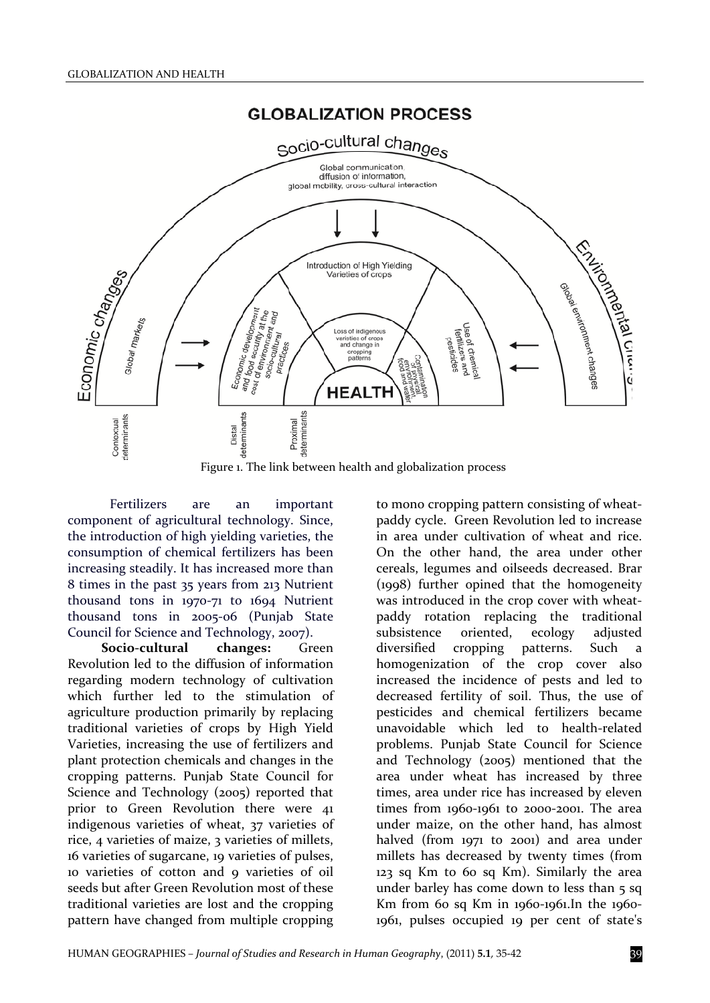



Figure 1. The link between health and globalization process

Fertilizers are an important component of agricultural technology. Since, the introduction of high yielding varieties, the consumption of chemical fertilizers has been increasing steadily. It has increased more than 8 times in the past 35 years from 213 Nutrient thousand tons in 1970‐71 to 1694 Nutrient thousand tons in 2005‐06 (Punjab State Council for Science and Technology, 2007).

**Socio‐cultural changes:** Green Revolution led to the diffusion of information regarding modern technology of cultivation which further led to the stimulation of agriculture production primarily by replacing traditional varieties of crops by High Yield Varieties, increasing the use of fertilizers and plant protection chemicals and changes in the cropping patterns. Punjab State Council for Science and Technology (2005) reported that prior to Green Revolution there were 41 indigenous varieties of wheat, 37 varieties of rice, 4 varieties of maize, 3 varieties of millets, 16 varieties of sugarcane, 19 varieties of pulses, 10 varieties of cotton and 9 varieties of oil seeds but after Green Revolution most of these traditional varieties are lost and the cropping pattern have changed from multiple cropping

to mono cropping pattern consisting of wheat‐ paddy cycle. Green Revolution led to increase in area under cultivation of wheat and rice. On the other hand, the area under other cereals, legumes and oilseeds decreased. Brar (1998) further opined that the homogeneity was introduced in the crop cover with wheatpaddy rotation replacing the traditional subsistence oriented, ecology adjusted diversified cropping patterns. Such a homogenization of the crop cover also increased the incidence of pests and led to decreased fertility of soil. Thus, the use of pesticides and chemical fertilizers became unavoidable which led to health‐related problems. Punjab State Council for Science and Technology (2005) mentioned that the area under wheat has increased by three times, area under rice has increased by eleven times from 1960-1961 to 2000-2001. The area under maize, on the other hand, has almost halved (from 1971 to 2001) and area under millets has decreased by twenty times (from 123 sq Km to 60 sq Km). Similarly the area under barley has come down to less than 5 sq Km from 60 sq Km in 1960‐1961.In the 1960‐ 1961, pulses occupied 19 per cent of state's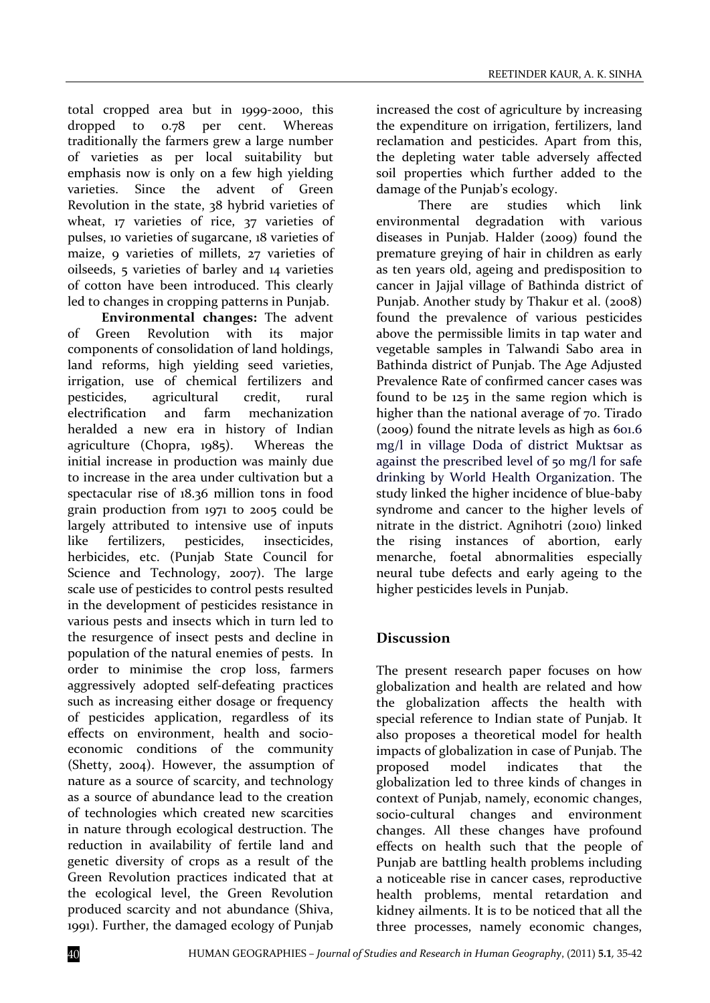total cropped area but in 1999‐2000, this dropped to 0.78 per cent. Whereas traditionally the farmers grew a large number of varieties as per local suitability but emphasis now is only on a few high yielding varieties. Since the advent of Green Revolution in the state, 38 hybrid varieties of wheat, 17 varieties of rice, 37 varieties of pulses, 10 varieties of sugarcane, 18 varieties of maize, 9 varieties of millets, 27 varieties of oilseeds, 5 varieties of barley and 14 varieties of cotton have been introduced. This clearly led to changes in cropping patterns in Punjab.

**Environmental changes:** The advent of Green Revolution with its major components of consolidation of land holdings, land reforms, high yielding seed varieties, irrigation, use of chemical fertilizers and pesticides, agricultural credit, rural electrification and farm mechanization heralded a new era in history of Indian agriculture (Chopra, 1985). Whereas the initial increase in production was mainly due to increase in the area under cultivation but a spectacular rise of 18.36 million tons in food grain production from 1971 to 2005 could be largely attributed to intensive use of inputs like fertilizers, pesticides, insecticides, herbicides, etc. (Punjab State Council for Science and Technology, 2007). The large scale use of pesticides to control pests resulted in the development of pesticides resistance in various pests and insects which in turn led to the resurgence of insect pests and decline in population of the natural enemies of pests. In order to minimise the crop loss, farmers aggressively adopted self‐defeating practices such as increasing either dosage or frequency of pesticides application, regardless of its effects on environment, health and socioeconomic conditions of the community (Shetty, 2004). However, the assumption of nature as a source of scarcity, and technology as a source of abundance lead to the creation of technologies which created new scarcities in nature through ecological destruction. The reduction in availability of fertile land and genetic diversity of crops as a result of the Green Revolution practices indicated that at the ecological level, the Green Revolution produced scarcity and not abundance (Shiva, 1991). Further, the damaged ecology of Punjab

increased the cost of agriculture by increasing the expenditure on irrigation, fertilizers, land reclamation and pesticides. Apart from this, the depleting water table adversely affected soil properties which further added to the damage of the Punjab's ecology.

There are studies which link environmental degradation with various diseases in Punjab. Halder (2009) found the premature greying of hair in children as early as ten years old, ageing and predisposition to cancer in Jajjal village of Bathinda district of Punjab. Another study by Thakur et al. (2008) found the prevalence of various pesticides above the permissible limits in tap water and vegetable samples in Talwandi Sabo area in Bathinda district of Punjab. The Age Adjusted Prevalence Rate of confirmed cancer cases was found to be 125 in the same region which is higher than the national average of 70. Tirado (2009) found the nitrate levels as high as 601.6 mg/l in village Doda of district Muktsar as against the prescribed level of 50 mg/l for safe drinking by World Health Organization. The study linked the higher incidence of blue‐baby syndrome and cancer to the higher levels of nitrate in the district. Agnihotri (2010) linked the rising instances of abortion, early menarche, foetal abnormalities especially neural tube defects and early ageing to the higher pesticides levels in Punjab.

### **Discussion**

The present research paper focuses on how globalization and health are related and how the globalization affects the health with special reference to Indian state of Punjab. It also proposes a theoretical model for health impacts of globalization in case of Punjab. The proposed model indicates that the globalization led to three kinds of changes in context of Punjab, namely, economic changes, socio-cultural changes and environment changes. All these changes have profound effects on health such that the people of Punjab are battling health problems including a noticeable rise in cancer cases, reproductive health problems, mental retardation and kidney ailments. It is to be noticed that all the three processes, namely economic changes,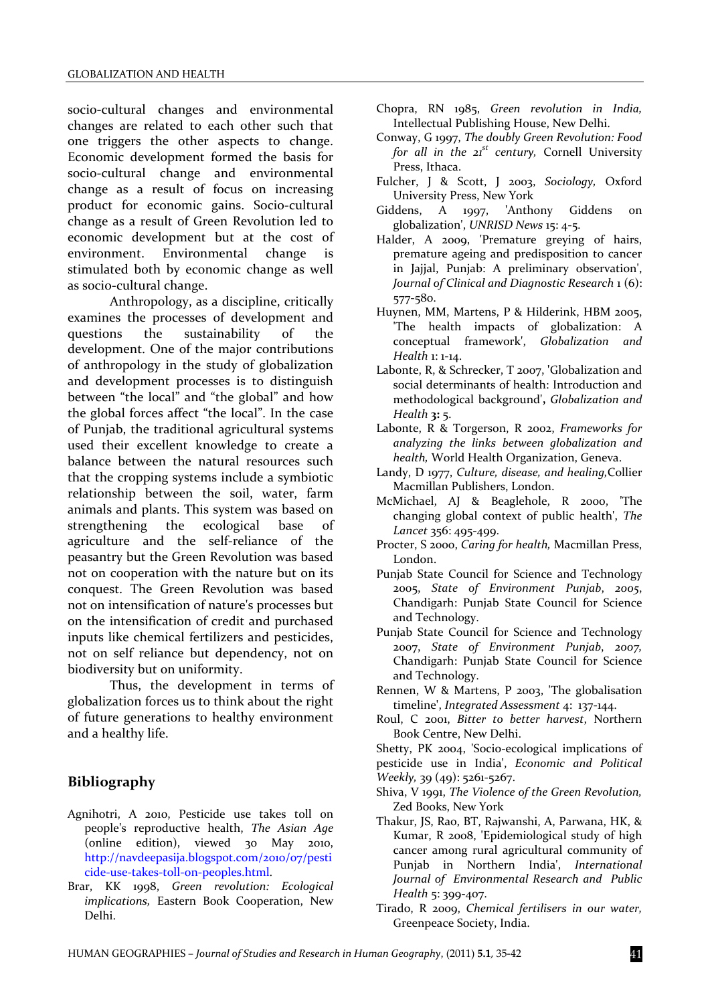socio-cultural changes and environmental changes are related to each other such that one triggers the other aspects to change. Economic development formed the basis for socio‐cultural change and environmental change as a result of focus on increasing product for economic gains. Socio‐cultural change as a result of Green Revolution led to economic development but at the cost of environment. Environmental change is stimulated both by economic change as well as socio‐cultural change.

Anthropology, as a discipline, critically examines the processes of development and questions the sustainability of the development. One of the major contributions of anthropology in the study of globalization and development processes is to distinguish between "the local" and "the global" and how the global forces affect "the local". In the case of Punjab, the traditional agricultural systems used their excellent knowledge to create a balance between the natural resources such that the cropping systems include a symbiotic relationship between the soil, water, farm animals and plants. This system was based on strengthening the ecological base of agriculture and the self‐reliance of the peasantry but the Green Revolution was based not on cooperation with the nature but on its conquest. The Green Revolution was based not on intensification of nature's processes but on the intensification of credit and purchased inputs like chemical fertilizers and pesticides, not on self reliance but dependency, not on biodiversity but on uniformity.

Thus, the development in terms of globalization forces us to think about the right of future generations to healthy environment and a healthy life.

### **Bibliography**

- Agnihotri, A 2010, Pesticide use takes toll on people's reproductive health, *The Asian Age* (online edition), viewed 30 May 2010, http://navdeepasija.blogspot.com/2010/07/pesti cide‐use‐takes‐toll‐on‐peoples.html.
- Brar, KK 1998, *Green revolution: Ecological implications,* Eastern Book Cooperation, New Delhi.
- Chopra, RN 1985, *Green revolution in India,* Intellectual Publishing House, New Delhi.
- Conway, G 1997, *The doubly Green Revolution: Food for all in the 21st century,* Cornell University Press, Ithaca.
- Fulcher, J & Scott, J 2003, *Sociology,* Oxford University Press, New York
- Giddens, A 1997, 'Anthony Giddens on globalization', *UNRISD News* 15: 4‐5.
- Halder, A 2009, 'Premature greying of hairs, premature ageing and predisposition to cancer in Jajjal, Punjab: A preliminary observation', *Journal of Clinical and Diagnostic Research* 1 (6): 577‐580.
- Huynen, MM, Martens, P & Hilderink, HBM 2005, 'The health impacts of globalization: A conceptual framework', *Globalization and Health* 1: 1‐14.
- Labonte, R, & Schrecker, T 2007, **'**Globalization and social determinants of health: Introduction and methodological background'**,** *Globalization and Health* **3:** 5.
- Labonte, R & Torgerson, R 2002, *Frameworks for analyzing the links between globalization and health,* World Health Organization, Geneva.
- Landy, D 1977, *Culture, disease, and healing,*Collier Macmillan Publishers, London.
- McMichael, AJ & Beaglehole, R 2000, 'The changing global context of public health', *The Lancet* 356: 495‐499.
- Procter, S 2000, *Caring for health,* Macmillan Press, London.
- Punjab State Council for Science and Technology 2005, *State of Environment Punjab*, *2005*, Chandigarh: Punjab State Council for Science and Technology.
- Punjab State Council for Science and Technology 2007, *State of Environment Punjab*, *2007,* Chandigarh: Punjab State Council for Science and Technology.
- Rennen, W & Martens, P 2003, 'The globalisation timeline', *Integrated Assessment* 4: 137‐144.
- Roul, C 2001, *Bitter to better harvest*, Northern Book Centre, New Delhi.

Shetty, PK 2004, 'Socio‐ecological implications of pesticide use in India', *Economic and Political Weekly,* 39 (49): 5261‐5267.

- Shiva, V 1991, *The Violence of the Green Revolution,* Zed Books, New York
- Thakur, JS, Rao, BT, Rajwanshi, A, Parwana, HK, & Kumar, R 2008, 'Epidemiological study of high cancer among rural agricultural community of Punjab in Northern India', *International Journal of Environmental Research and Public Health* 5: 399‐407.
- Tirado, R 2009, *Chemical fertilisers in our water,* Greenpeace Society, India.